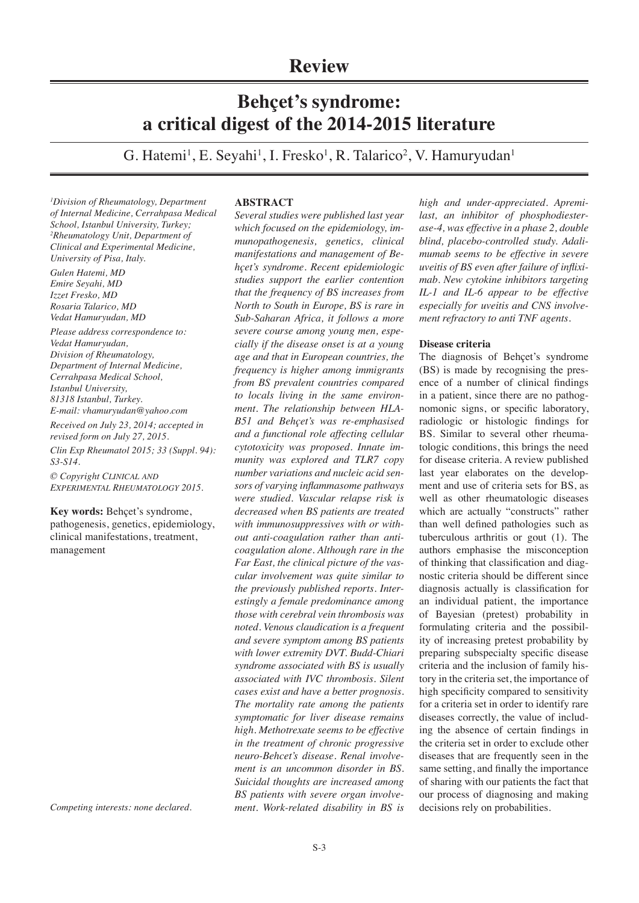# **Review**

# **Behçet's syndrome: a critical digest of the 2014-2015 literature**

G. Hatemi<sup>1</sup>, E. Seyahi<sup>1</sup>, I. Fresko<sup>1</sup>, R. Talarico<sup>2</sup>, V. Hamuryudan<sup>1</sup>

*1 Division of Rheumatology, Department of Internal Medicine, Cerrahpasa Medical School, Istanbul University, Turkey; 2 Rheumatology Unit, Department of Clinical and Experimental Medicine, University of Pisa, Italy.* 

*Gulen Hatemi, MD Emire Seyahi, MD Izzet Fresko, MD Rosaria Talarico, MD Vedat Hamuryudan, MD* 

*Please address correspondence to: Vedat Hamuryudan, Division of Rheumatology, Department of Internal Medicine, Cerrahpasa Medical School, Istanbul University, 81318 Istanbul, Turkey. E-mail: vhamuryudan@yahoo.com*

*Received on July 23, 2014; accepted in revised form on July 27, 2015.*

*Clin Exp Rheumatol 2015; 33 (Suppl. 94): S3-S14.*

*© Copyright Clinical and Experimental Rheumatology 2015.*

**Key words:** Behçet's syndrome, pathogenesis, genetics, epidemiology, clinical manifestations, treatment, management

*Competing interests: none declared.*

# **ABSTRACT**

*Several studies were published last year which focused on the epidemiology, immunopathogenesis, genetics, clinical manifestations and management of Behçet's syndrome. Recent epidemiologic studies support the earlier contention that the frequency of BS increases from North to South in Europe, BS is rare in Sub-Saharan Africa, it follows a more severe course among young men, especially if the disease onset is at a young age and that in European countries, the frequency is higher among immigrants from BS prevalent countries compared to locals living in the same environment. The relationship between HLA-B51 and Behçet's was re-emphasised and a functional role affecting cellular cytotoxicity was proposed. Innate immunity was explored and TLR7 copy number variations and nucleic acid sensors of varying inflammasome pathways were studied. Vascular relapse risk is decreased when BS patients are treated with immunosuppressives with or without anti-coagulation rather than anticoagulation alone. Although rare in the Far East, the clinical picture of the vascular involvement was quite similar to the previously published reports. Interestingly a female predominance among those with cerebral vein thrombosis was noted. Venous claudication is a frequent and severe symptom among BS patients with lower extremity DVT. Budd-Chiari syndrome associated with BS is usually associated with IVC thrombosis. Silent cases exist and have a better prognosis. The mortality rate among the patients symptomatic for liver disease remains high. Methotrexate seems to be effective in the treatment of chronic progressive neuro-Behcet's disease. Renal involvement is an uncommon disorder in BS. Suicidal thoughts are increased among BS patients with severe organ involvement. Work-related disability in BS is* 

*high and under-appreciated. Apremilast, an inhibitor of phosphodiesterase-4, was effective in a phase 2, double blind, placebo-controlled study. Adalimumab seems to be effective in severe uveitis of BS even after failure of infliximab. New cytokine inhibitors targeting IL-1 and IL-6 appear to be effective especially for uveitis and CNS involvement refractory to anti TNF agents.* 

# **Disease criteria**

The diagnosis of Behçet's syndrome (BS) is made by recognising the presence of a number of clinical findings in a patient, since there are no pathognomonic signs, or specific laboratory, radiologic or histologic findings for BS. Similar to several other rheumatologic conditions, this brings the need for disease criteria. A review published last year elaborates on the development and use of criteria sets for BS, as well as other rheumatologic diseases which are actually "constructs" rather than well defined pathologies such as tuberculous arthritis or gout (1). The authors emphasise the misconception of thinking that classification and diagnostic criteria should be different since diagnosis actually is classification for an individual patient, the importance of Bayesian (pretest) probability in formulating criteria and the possibility of increasing pretest probability by preparing subspecialty specific disease criteria and the inclusion of family history in the criteria set, the importance of high specificity compared to sensitivity for a criteria set in order to identify rare diseases correctly, the value of including the absence of certain findings in the criteria set in order to exclude other diseases that are frequently seen in the same setting, and finally the importance of sharing with our patients the fact that our process of diagnosing and making decisions rely on probabilities.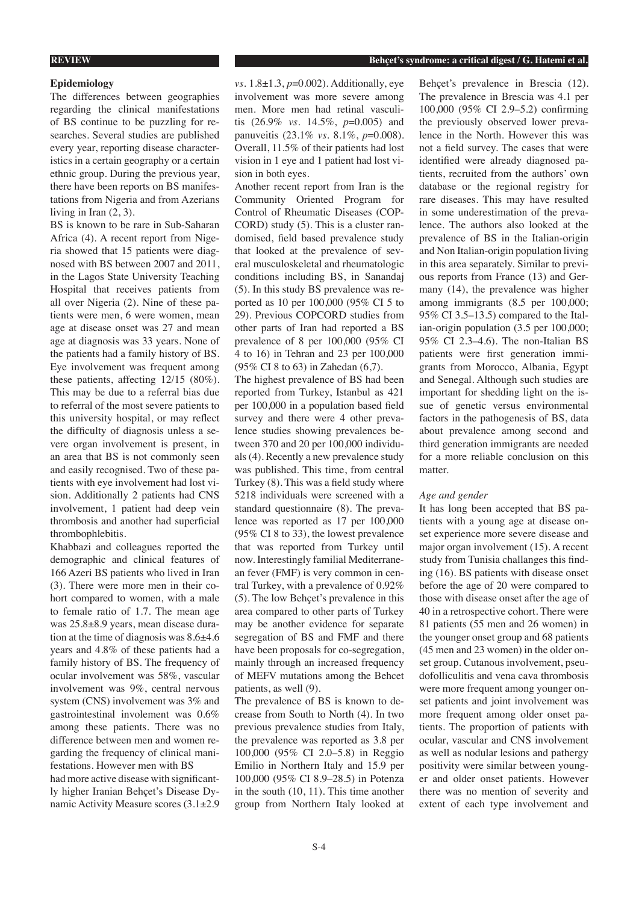# **Epidemiology**

The differences between geographies regarding the clinical manifestations of BS continue to be puzzling for researches. Several studies are published every year, reporting disease characteristics in a certain geography or a certain ethnic group. During the previous year, there have been reports on BS manifestations from Nigeria and from Azerians living in Iran (2, 3).

BS is known to be rare in Sub-Saharan Africa (4). A recent report from Nigeria showed that 15 patients were diagnosed with BS between 2007 and 2011, in the Lagos State University Teaching Hospital that receives patients from all over Nigeria (2). Nine of these patients were men, 6 were women, mean age at disease onset was 27 and mean age at diagnosis was 33 years. None of the patients had a family history of BS. Eye involvement was frequent among these patients, affecting 12/15 (80%). This may be due to a referral bias due to referral of the most severe patients to this university hospital, or may reflect the difficulty of diagnosis unless a severe organ involvement is present, in an area that BS is not commonly seen and easily recognised. Two of these patients with eye involvement had lost vision. Additionally 2 patients had CNS involvement, 1 patient had deep vein thrombosis and another had superficial thrombophlebitis.

Khabbazi and colleagues reported the demographic and clinical features of 166 Azeri BS patients who lived in Iran (3). There were more men in their cohort compared to women, with a male to female ratio of 1.7. The mean age was 25.8±8.9 years, mean disease duration at the time of diagnosis was 8.6±4.6 years and 4.8% of these patients had a family history of BS. The frequency of ocular involvement was 58%, vascular involvement was 9%, central nervous system (CNS) involvement was 3% and gastrointestinal involement was 0.6% among these patients. There was no difference between men and women regarding the frequency of clinical manifestations. However men with BS had more active disease with significantly higher Iranian Behçet's Disease Dynamic Activity Measure scores (3.1±2.9

*vs.* 1.8±1.3, *p*=0.002). Additionally, eye involvement was more severe among men. More men had retinal vasculitis (26.9% *vs.* 14.5%, *p*=0.005) and panuveitis (23.1% *vs.* 8.1%, *p*=0.008). Overall, 11.5% of their patients had lost vision in 1 eye and 1 patient had lost vision in both eyes.

Another recent report from Iran is the Community Oriented Program for Control of Rheumatic Diseases (COP-CORD) study (5). This is a cluster randomised, field based prevalence study that looked at the prevalence of several musculoskeletal and rheumatologic conditions including BS, in Sanandaj (5). In this study BS prevalence was reported as 10 per 100,000 (95% CI 5 to 29). Previous COPCORD studies from other parts of Iran had reported a BS prevalence of 8 per 100,000 (95% CI 4 to 16) in Tehran and 23 per 100,000 (95% CI 8 to 63) in Zahedan (6,7).

The highest prevalence of BS had been reported from Turkey, Istanbul as 421 per 100,000 in a population based field survey and there were 4 other prevalence studies showing prevalences between 370 and 20 per 100,000 individuals (4). Recently a new prevalence study was published. This time, from central Turkey (8). This was a field study where 5218 individuals were screened with a standard questionnaire (8). The prevalence was reported as 17 per 100,000 (95% CI 8 to 33), the lowest prevalence that was reported from Turkey until now. Interestingly familial Mediterranean fever (FMF) is very common in central Turkey, with a prevalence of 0.92% (5). The low Behçet's prevalence in this area compared to other parts of Turkey may be another evidence for separate segregation of BS and FMF and there have been proposals for co-segregation, mainly through an increased frequency of MEFV mutations among the Behcet patients, as well (9).

The prevalence of BS is known to decrease from South to North (4). In two previous prevalence studies from Italy, the prevalence was reported as 3.8 per 100,000 (95% CI 2.0–5.8) in Reggio Emilio in Northern Italy and 15.9 per 100,000 (95% CI 8.9–28.5) in Potenza in the south (10, 11). This time another group from Northern Italy looked at

Behçet's prevalence in Brescia (12). The prevalence in Brescia was 4.1 per 100,000 (95% CI 2.9–5.2) confirming the previously observed lower prevalence in the North. However this was not a field survey. The cases that were identified were already diagnosed patients, recruited from the authors' own database or the regional registry for rare diseases. This may have resulted in some underestimation of the prevalence. The authors also looked at the prevalence of BS in the Italian-origin and Non Italian-origin population living in this area separately. Similar to previous reports from France (13) and Germany (14), the prevalence was higher among immigrants (8.5 per 100,000; 95% CI 3.5–13.5) compared to the Italian-origin population (3.5 per 100,000; 95% CI 2.3–4.6). The non-Italian BS patients were first generation immigrants from Morocco, Albania, Egypt and Senegal. Although such studies are important for shedding light on the issue of genetic versus environmental factors in the pathogenesis of BS, data about prevalence among second and third generation immigrants are needed for a more reliable conclusion on this matter.

#### *Age and gender*

It has long been accepted that BS patients with a young age at disease onset experience more severe disease and major organ involvement (15). A recent study from Tunisia challanges this finding (16). BS patients with disease onset before the age of 20 were compared to those with disease onset after the age of 40 in a retrospective cohort. There were 81 patients (55 men and 26 women) in the younger onset group and 68 patients (45 men and 23 women) in the older onset group. Cutanous involvement, pseudofolliculitis and vena cava thrombosis were more frequent among younger onset patients and joint involvement was more frequent among older onset patients. The proportion of patients with ocular, vascular and CNS involvement as well as nodular lesions and pathergy positivity were similar between younger and older onset patients. However there was no mention of severity and extent of each type involvement and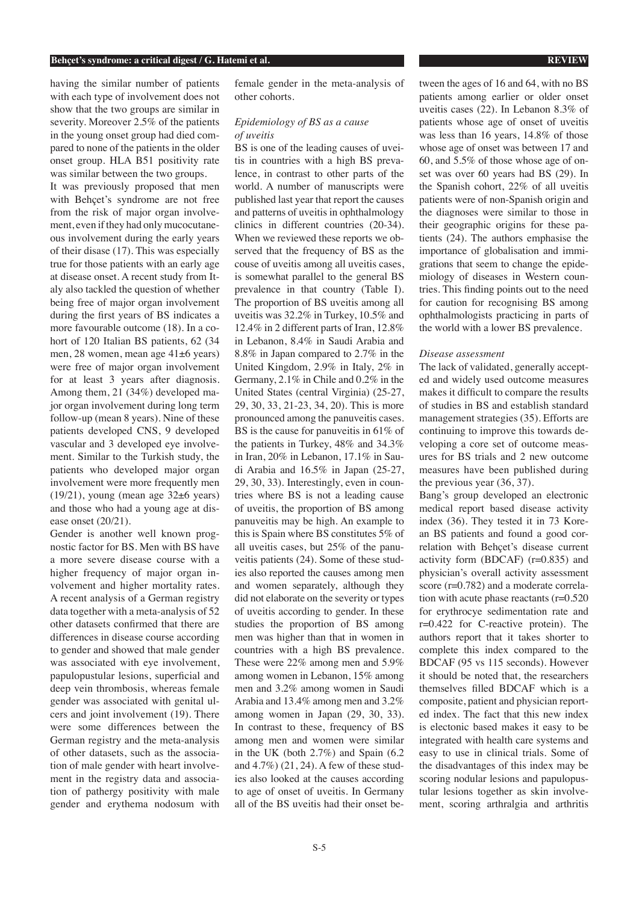having the similar number of patients with each type of involvement does not show that the two groups are similar in severity. Moreover 2.5% of the patients in the young onset group had died compared to none of the patients in the older onset group. HLA B51 positivity rate was similar between the two groups.

It was previously proposed that men with Behcet's syndrome are not free from the risk of major organ involvement, even if they had only mucocutaneous involvement during the early years of their disase (17). This was especially true for those patients with an early age at disease onset. A recent study from Italy also tackled the question of whether being free of major organ involvement during the first years of BS indicates a more favourable outcome (18). In a cohort of 120 Italian BS patients, 62 (34 men, 28 women, mean age 41±6 years) were free of major organ involvement for at least 3 years after diagnosis. Among them, 21 (34%) developed major organ involvement during long term follow-up (mean 8 years). Nine of these patients developed CNS, 9 developed vascular and 3 developed eye involvement. Similar to the Turkish study, the patients who developed major organ involvement were more frequently men  $(19/21)$ , young (mean age  $32±6$  years) and those who had a young age at disease onset (20/21).

Gender is another well known prognostic factor for BS. Men with BS have a more severe disease course with a higher frequency of major organ involvement and higher mortality rates. A recent analysis of a German registry data together with a meta-analysis of 52 other datasets confirmed that there are differences in disease course according to gender and showed that male gender was associated with eye involvement, papulopustular lesions, superficial and deep vein thrombosis, whereas female gender was associated with genital ulcers and joint involvement (19). There were some differences between the German registry and the meta-analysis of other datasets, such as the association of male gender with heart involvement in the registry data and association of pathergy positivity with male gender and erythema nodosum with

female gender in the meta-analysis of other cohorts.

# *Epidemiology of BS as a cause of uveitis*

BS is one of the leading causes of uveitis in countries with a high BS prevalence, in contrast to other parts of the world. A number of manuscripts were published last year that report the causes and patterns of uveitis in ophthalmology clinics in different countries (20-34). When we reviewed these reports we observed that the frequency of BS as the couse of uveitis among all uveitis cases, is somewhat parallel to the general BS prevalence in that country (Table I). The proportion of BS uveitis among all uveitis was 32.2% in Turkey, 10.5% and 12.4% in 2 different parts of Iran, 12.8% in Lebanon, 8.4% in Saudi Arabia and 8.8% in Japan compared to 2.7% in the United Kingdom, 2.9% in Italy, 2% in Germany, 2.1% in Chile and 0.2% in the United States (central Virginia) (25-27, 29, 30, 33, 21-23, 34, 20). This is more pronounced among the panuveitis cases. BS is the cause for panuveitis in 61% of the patients in Turkey, 48% and 34.3% in Iran, 20% in Lebanon, 17.1% in Saudi Arabia and 16.5% in Japan (25-27, 29, 30, 33). Interestingly, even in countries where BS is not a leading cause of uveitis, the proportion of BS among panuveitis may be high. An example to this is Spain where BS constitutes 5% of all uveitis cases, but 25% of the panuveitis patients (24). Some of these studies also reported the causes among men and women separately, although they did not elaborate on the severity or types of uveitis according to gender. In these studies the proportion of BS among men was higher than that in women in countries with a high BS prevalence. These were 22% among men and 5.9% among women in Lebanon, 15% among men and 3.2% among women in Saudi Arabia and 13.4% among men and 3.2% among women in Japan (29, 30, 33). In contrast to these, frequency of BS among men and women were similar in the UK (both 2.7%) and Spain (6.2 and 4.7%) (21, 24). A few of these studies also looked at the causes according to age of onset of uveitis. In Germany all of the BS uveitis had their onset between the ages of 16 and 64, with no BS patients among earlier or older onset uveitis cases (22). In Lebanon 8.3% of patients whose age of onset of uveitis was less than 16 years, 14.8% of those whose age of onset was between 17 and 60, and 5.5% of those whose age of onset was over 60 years had BS (29). In the Spanish cohort, 22% of all uveitis patients were of non-Spanish origin and the diagnoses were similar to those in their geographic origins for these patients (24). The authors emphasise the importance of globalisation and immigrations that seem to change the epidemiology of diseases in Western countries. This finding points out to the need for caution for recognising BS among ophthalmologists practicing in parts of the world with a lower BS prevalence.

#### *Disease assessment*

The lack of validated, generally accepted and widely used outcome measures makes it difficult to compare the results of studies in BS and establish standard management strategies (35). Efforts are continuing to improve this towards developing a core set of outcome measures for BS trials and 2 new outcome measures have been published during the previous year (36, 37).

Bang's group developed an electronic medical report based disease activity index (36). They tested it in 73 Korean BS patients and found a good correlation with Behçet's disease current activity form (BDCAF) (r=0.835) and physician's overall activity assessment score (r=0.782) and a moderate correlation with acute phase reactants (r=0.520 for erythrocye sedimentation rate and r=0.422 for C-reactive protein). The authors report that it takes shorter to complete this index compared to the BDCAF (95 vs 115 seconds). However it should be noted that, the researchers themselves filled BDCAF which is a composite, patient and physician reported index. The fact that this new index is electonic based makes it easy to be integrated with health care systems and easy to use in clinical trials. Some of the disadvantages of this index may be scoring nodular lesions and papulopustular lesions together as skin involvement, scoring arthralgia and arthritis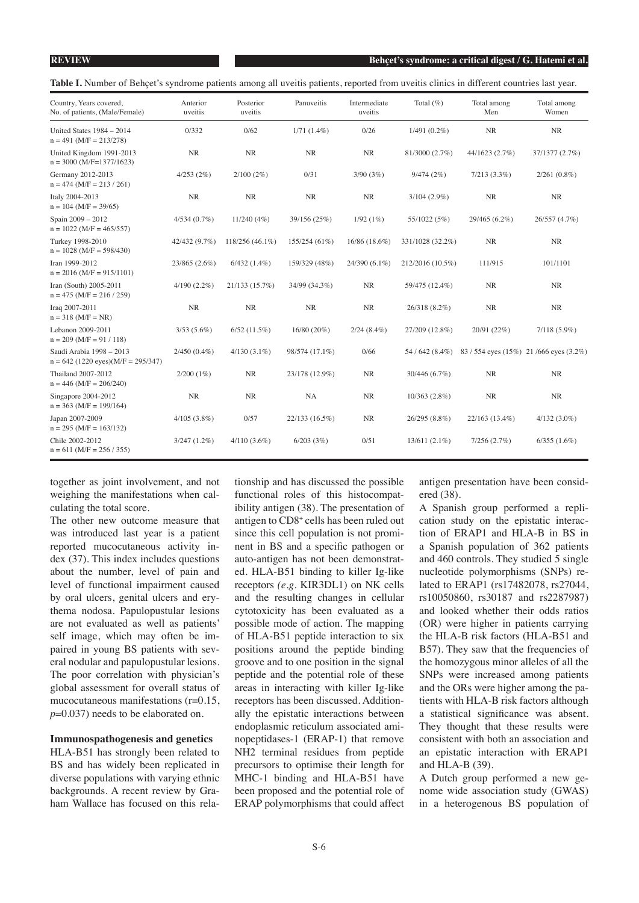Table I. Number of Behçet's syndrome patients among all uveitis patients, reported from uveitis clinics in different countries last year.

| Country, Years covered,<br>No. of patients, (Male/Female)        | Anterior<br>uveitis | Posterior<br>uveitis | Panuveitis     | Intermediate<br>uveitis | Total $(\%)$     | Total among<br>Men                   | Total among<br>Women |
|------------------------------------------------------------------|---------------------|----------------------|----------------|-------------------------|------------------|--------------------------------------|----------------------|
| United States $1984 - 2014$<br>$n = 491$ (M/F = 213/278)         | 0/332               | 0/62                 | $1/71(1.4\%)$  | 0/26                    | $1/491(0.2\%)$   | $\rm NR$                             | NR                   |
| United Kingdom 1991-2013<br>$n = 3000$ (M/F=1377/1623)           | NR                  | <b>NR</b>            | <b>NR</b>      | NR                      | 81/3000 (2.7%)   | 44/1623 (2.7%)                       | 37/1377 (2.7%)       |
| Germany 2012-2013<br>$n = 474$ (M/F = 213 / 261)                 | 4/253(2%)           | 2/100(2%)            | 0/31           | 3/90(3%)                | 9/474(2%)        | $7/213(3.3\%)$                       | $2/261(0.8\%)$       |
| Italy 2004-2013<br>$n = 104$ (M/F = 39/65)                       | NR                  | <b>NR</b>            | NR             | NR                      | $3/104(2.9\%)$   | NR                                   | <b>NR</b>            |
| Spain 2009 - 2012<br>$n = 1022$ (M/F = 465/557)                  | 4/534(0.7%)         | 11/240(4%)           | 39/156 (25%)   | 1/92(1%)                | 55/1022 (5%)     | 29/465 (6.2%)                        | 26/557 (4.7%)        |
| Turkey 1998-2010<br>$n = 1028$ (M/F = 598/430)                   | 42/432 (9.7%)       | 118/256 (46.1%)      | 155/254 (61%)  | 16/86 (18.6%)           | 331/1028 (32.2%) | NR                                   | NR                   |
| Iran 1999-2012<br>$n = 2016$ (M/F = 915/1101)                    | 23/865 (2.6%)       | $6/432(1.4\%)$       | 159/329 (48%)  | 24/390 (6.1%)           | 212/2016 (10.5%) | 111/915                              | 101/1101             |
| Iran (South) 2005-2011<br>$n = 475$ (M/F = 216 / 259)            | $4/190(2.2\%)$      | 21/133 (15.7%)       | 34/99 (34.3%)  | NR                      | 59/475 (12.4%)   | NR                                   | NR                   |
| Iraq 2007-2011<br>$n = 318$ (M/F = NR)                           | $\rm NR$            | NR                   | $\rm NR$       | $\rm NR$                | 26/318 (8.2%)    | $\rm NR$                             | NR                   |
| Lebanon 2009-2011<br>$n = 209$ (M/F = 91 / 118)                  | $3/53(5.6\%)$       | $6/52$ (11.5%)       | $16/80(20\%)$  | $2/24(8.4\%)$           | 27/209 (12.8%)   | 20/91 (22%)                          | $7/118(5.9\%)$       |
| Saudi Arabia 1998 - 2013<br>$n = 642$ (1220 eyes)(M/F = 295/347) | $2/450(0.4\%)$      | $4/130(3.1\%)$       | 98/574 (17.1%) | 0/66                    | 54 / 642 (8.4%)  | 83/554 eyes (15%) 21/666 eyes (3.2%) |                      |
| Thailand 2007-2012<br>$n = 446$ (M/F = 206/240)                  | $2/200(1\%)$        | NR                   | 23/178 (12.9%) | NR                      | 30/446 (6.7%)    | <b>NR</b>                            | NR                   |
| Singapore 2004-2012<br>$n = 363$ (M/F = 199/164)                 | NR                  | NR                   | NA             | NR                      | $10/363(2.8\%)$  | <b>NR</b>                            | <b>NR</b>            |
| Japan 2007-2009<br>$n = 295$ (M/F = 163/132)                     | 4/105(3.8%)         | 0/57                 | 22/133 (16.5%) | NR                      | 26/295 (8.8%)    | 22/163 (13.4%)                       | $4/132(3.0\%)$       |
| Chile 2002-2012<br>$n = 611$ (M/F = 256 / 355)                   | $3/247(1.2\%)$      | $4/110(3.6\%)$       | 6/203(3%)      | 0/51                    | $13/611(2.1\%)$  | 7/256(2.7%)                          | $6/355(1.6\%)$       |

together as joint involvement, and not weighing the manifestations when calculating the total score.

The other new outcome measure that was introduced last year is a patient reported mucocutaneous activity index (37). This index includes questions about the number, level of pain and level of functional impairment caused by oral ulcers, genital ulcers and erythema nodosa. Papulopustular lesions are not evaluated as well as patients' self image, which may often be impaired in young BS patients with several nodular and papulopustular lesions. The poor correlation with physician's global assessment for overall status of mucocutaneous manifestations (r=0.15, *p*=0.037) needs to be elaborated on.

# **Immunospathogenesis and genetics**

HLA-B51 has strongly been related to BS and has widely been replicated in diverse populations with varying ethnic backgrounds. A recent review by Graham Wallace has focused on this relationship and has discussed the possible functional roles of this histocompatibility antigen (38). The presentation of antigen to CD8+ cells has been ruled out since this cell population is not prominent in BS and a specific pathogen or auto-antigen has not been demonstrated. HLA-B51 binding to killer Ig-like receptors *(e.g*. KIR3DL1) on NK cells and the resulting changes in cellular cytotoxicity has been evaluated as a possible mode of action. The mapping of HLA-B51 peptide interaction to six positions around the peptide binding groove and to one position in the signal peptide and the potential role of these areas in interacting with killer Ig-like receptors has been discussed. Additionally the epistatic interactions between endoplasmic reticulum associated aminopeptidases-1 (ERAP-1) that remove NH2 terminal residues from peptide precursors to optimise their length for MHC-1 binding and HLA-B51 have been proposed and the potential role of ERAP polymorphisms that could affect

antigen presentation have been considered (38).

A Spanish group performed a replication study on the epistatic interaction of ERAP1 and HLA-B in BS in a Spanish population of 362 patients and 460 controls. They studied 5 single nucleotide polymorphisms (SNPs) related to ERAP1 (rs17482078, rs27044, rs10050860, rs30187 and rs2287987) and looked whether their odds ratios (OR) were higher in patients carrying the HLA-B risk factors (HLA-B51 and B57). They saw that the frequencies of the homozygous minor alleles of all the SNPs were increased among patients and the ORs were higher among the patients with HLA-B risk factors although a statistical significance was absent. They thought that these results were consistent with both an association and an epistatic interaction with ERAP1 and HLA-B (39).

A Dutch group performed a new genome wide association study (GWAS) in a heterogenous BS population of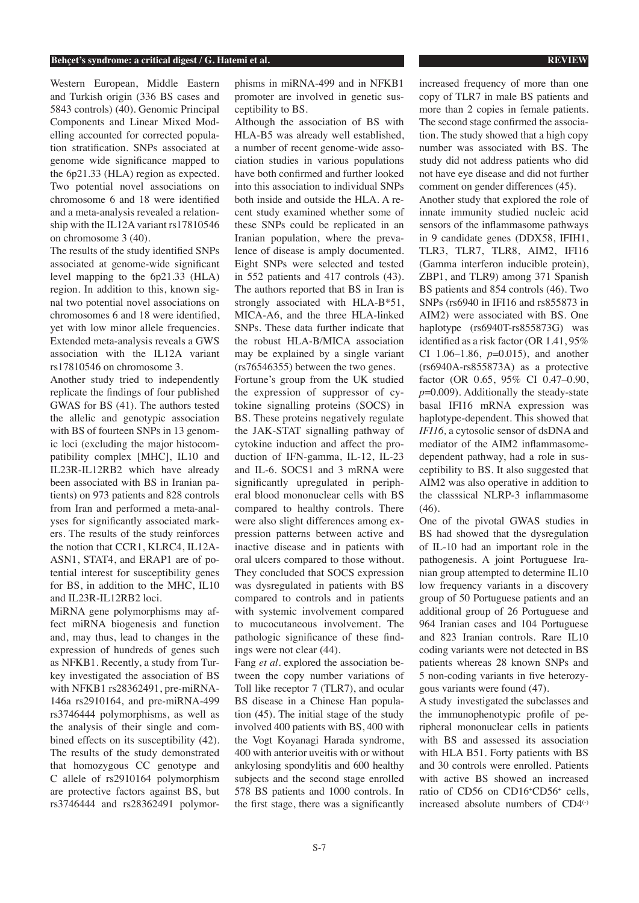Western European, Middle Eastern and Turkish origin (336 BS cases and 5843 controls) (40). Genomic Principal Components and Linear Mixed Modelling accounted for corrected population stratification. SNPs associated at genome wide significance mapped to the 6p21.33 (HLA) region as expected. Two potential novel associations on chromosome 6 and 18 were identified and a meta-analysis revealed a relationship with the IL12A variant rs17810546 on chromosome 3 (40).

The results of the study identified SNPs associated at genome-wide significant level mapping to the 6p21.33 (HLA) region. In addition to this, known signal two potential novel associations on chromosomes 6 and 18 were identified, yet with low minor allele frequencies. Extended meta-analysis reveals a GWS association with the IL12A variant rs17810546 on chromosome 3.

Another study tried to independently replicate the findings of four published GWAS for BS (41). The authors tested the allelic and genotypic association with BS of fourteen SNPs in 13 genomic loci (excluding the major histocompatibility complex [MHC], IL10 and IL23R-IL12RB2 which have already been associated with BS in Iranian patients) on 973 patients and 828 controls from Iran and performed a meta-analyses for significantly associated markers. The results of the study reinforces the notion that CCR1, KLRC4, IL12A-ASN1, STAT4, and ERAP1 are of potential interest for susceptibility genes for BS, in addition to the MHC, IL10 and IL23R-IL12RB2 loci.

MiRNA gene polymorphisms may affect miRNA biogenesis and function and, may thus, lead to changes in the expression of hundreds of genes such as NFKB1. Recently, a study from Turkey investigated the association of BS with NFKB1 rs28362491, pre-miRNA-146a rs2910164, and pre-miRNA-499 rs3746444 polymorphisms, as well as the analysis of their single and combined effects on its susceptibility (42). The results of the study demonstrated that homozygous CC genotype and C allele of rs2910164 polymorphism are protective factors against BS, but rs3746444 and rs28362491 polymorphisms in miRNA-499 and in NFKB1 promoter are involved in genetic susceptibility to BS.

Although the association of BS with HLA-B5 was already well established, a number of recent genome-wide association studies in various populations have both confirmed and further looked into this association to individual SNPs both inside and outside the HLA. A recent study examined whether some of these SNPs could be replicated in an Iranian population, where the prevalence of disease is amply documented. Eight SNPs were selected and tested in 552 patients and 417 controls (43). The authors reported that BS in Iran is strongly associated with HLA-B\*51, MICA-A6, and the three HLA-linked SNPs. These data further indicate that the robust HLA-B/MICA association may be explained by a single variant (rs76546355) between the two genes. Fortune's group from the UK studied

the expression of suppressor of cytokine signalling proteins (SOCS) in BS. These proteins negatively regulate the JAK-STAT signalling pathway of cytokine induction and affect the production of IFN-gamma, IL-12, IL-23 and IL-6. SOCS1 and 3 mRNA were significantly upregulated in peripheral blood mononuclear cells with BS compared to healthy controls. There were also slight differences among expression patterns between active and inactive disease and in patients with oral ulcers compared to those without. They concluded that SOCS expression was dysregulated in patients with BS compared to controls and in patients with systemic involvement compared to mucocutaneous involvement. The pathologic significance of these findings were not clear (44).

Fang *et al.* explored the association between the copy number variations of Toll like receptor 7 (TLR7), and ocular BS disease in a Chinese Han population (45). The initial stage of the study involved 400 patients with BS, 400 with the Vogt Koyanagi Harada syndrome, 400 with anterior uveitis with or without ankylosing spondylitis and 600 healthy subjects and the second stage enrolled 578 BS patients and 1000 controls. In the first stage, there was a significantly

increased frequency of more than one copy of TLR7 in male BS patients and more than 2 copies in female patients. The second stage confirmed the association. The study showed that a high copy number was associated with BS. The study did not address patients who did not have eye disease and did not further comment on gender differences (45). Another study that explored the role of innate immunity studied nucleic acid sensors of the inflammasome pathways in 9 candidate genes (DDX58, IFIH1, TLR3, TLR7, TLR8, AIM2, IFI16 (Gamma interferon inducible protein), ZBP1, and TLR9) among 371 Spanish BS patients and 854 controls (46). Two SNPs (rs6940 in IFI16 and rs855873 in AIM2) were associated with BS. One haplotype (rs6940T-rs855873G) was identified as a risk factor (OR 1.41, 95% CI 1.06–1.86, *p*=0.015), and another (rs6940A-rs855873A) as a protective factor (OR 0.65, 95% CI 0.47–0.90, *p*=0.009). Additionally the steady-state basal IFI16 mRNA expression was haplotype-dependent. This showed that *IFI16,* a cytosolic sensor of dsDNA and mediator of the AIM2 inflammasomedependent pathway, had a role in susceptibility to BS. It also suggested that AIM2 was also operative in addition to the classsical NLRP-3 inflammasome (46).

One of the pivotal GWAS studies in BS had showed that the dysregulation of IL-10 had an important role in the pathogenesis. A joint Portuguese Iranian group attempted to determine IL10 low frequency variants in a discovery group of 50 Portuguese patients and an additional group of 26 Portuguese and 964 Iranian cases and 104 Portuguese and 823 Iranian controls. Rare IL10 coding variants were not detected in BS patients whereas 28 known SNPs and 5 non-coding variants in five heterozygous variants were found (47).

A study investigated the subclasses and the immunophenotypic profile of peripheral mononuclear cells in patients with BS and assessed its association with HLA B51. Forty patients with BS and 30 controls were enrolled. Patients with active BS showed an increased ratio of CD56 on CD16+CD56+ cells, increased absolute numbers of CD4(-)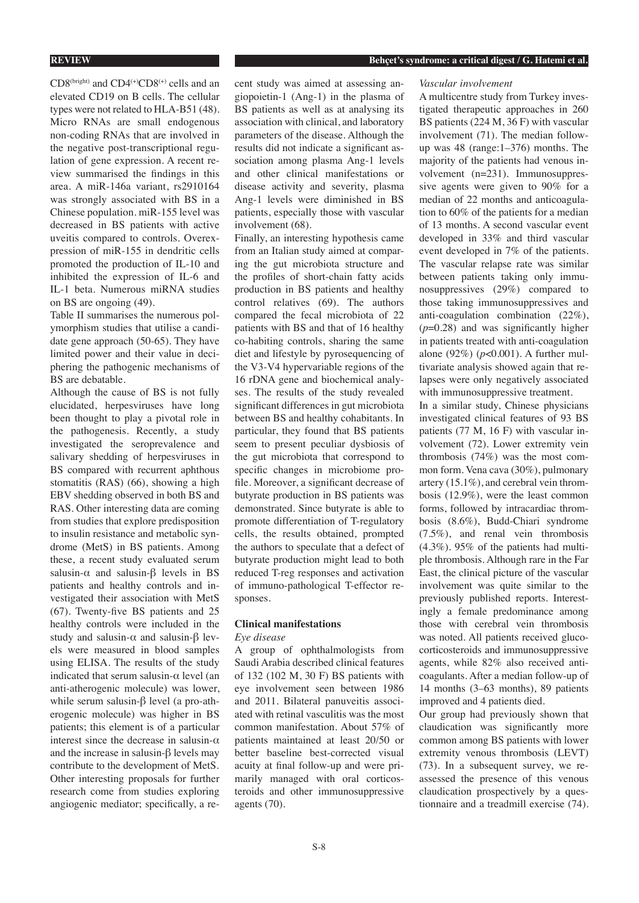CD8(bright) and CD4(+)CD8(+) cells and an elevated CD19 on B cells. The cellular types were not related to HLA-B51 (48). Micro RNAs are small endogenous non-coding RNAs that are involved in the negative post-transcriptional regulation of gene expression. A recent review summarised the findings in this area. A miR-146a variant, rs2910164 was strongly associated with BS in a Chinese population. miR-155 level was decreased in BS patients with active uveitis compared to controls. Overexpression of miR-155 in dendritic cells promoted the production of IL-10 and inhibited the expression of IL-6 and IL-1 beta. Numerous miRNA studies on BS are ongoing (49).

Table II summarises the numerous polymorphism studies that utilise a candidate gene approach (50-65). They have limited power and their value in deciphering the pathogenic mechanisms of BS are debatable.

Although the cause of BS is not fully elucidated, herpesviruses have long been thought to play a pivotal role in the pathogenesis. Recently, a study investigated the seroprevalence and salivary shedding of herpesviruses in BS compared with recurrent aphthous stomatitis (RAS) (66), showing a high EBV shedding observed in both BS and RAS. Other interesting data are coming from studies that explore predisposition to insulin resistance and metabolic syndrome (MetS) in BS patients. Among these, a recent study evaluated serum salusin- $\alpha$  and salusin- $\beta$  levels in BS patients and healthy controls and investigated their association with MetS (67). Twenty-five BS patients and 25 healthy controls were included in the study and salusin- $\alpha$  and salusin- $\beta$  levels were measured in blood samples using ELISA. The results of the study indicated that serum salusin- $\alpha$  level (an anti-atherogenic molecule) was lower, while serum salusin-β level (a pro-atherogenic molecule) was higher in BS patients; this element is of a particular interest since the decrease in salusin- $\alpha$ and the increase in salusin-β levels may contribute to the development of MetS. Other interesting proposals for further research come from studies exploring angiogenic mediator; specifically, a recent study was aimed at assessing angiopoietin-1 (Ang-1) in the plasma of BS patients as well as at analysing its association with clinical, and laboratory parameters of the disease. Although the results did not indicate a significant association among plasma Ang-1 levels and other clinical manifestations or disease activity and severity, plasma Ang-1 levels were diminished in BS patients, especially those with vascular involvement (68).

Finally, an interesting hypothesis came from an Italian study aimed at comparing the gut microbiota structure and the profiles of short-chain fatty acids production in BS patients and healthy control relatives (69). The authors compared the fecal microbiota of 22 patients with BS and that of 16 healthy co-habiting controls, sharing the same diet and lifestyle by pyrosequencing of the V3-V4 hypervariable regions of the 16 rDNA gene and biochemical analyses. The results of the study revealed significant differences in gut microbiota between BS and healthy cohabitants. In particular, they found that BS patients seem to present peculiar dysbiosis of the gut microbiota that correspond to specific changes in microbiome profile. Moreover, a significant decrease of butyrate production in BS patients was demonstrated. Since butyrate is able to promote differentiation of T-regulatory cells, the results obtained, prompted the authors to speculate that a defect of butyrate production might lead to both reduced T-reg responses and activation of immuno-pathological T-effector responses.

# **Clinical manifestations** *Eye disease*

A group of ophthalmologists from Saudi Arabia described clinical features of 132 (102 M, 30 F) BS patients with eye involvement seen between 1986 and 2011. Bilateral panuveitis associated with retinal vasculitis was the most common manifestation. About 57% of patients maintained at least 20/50 or better baseline best-corrected visual acuity at final follow-up and were primarily managed with oral corticosteroids and other immunosuppressive agents (70).

### *Vascular involvement*

A multicentre study from Turkey investigated therapeutic approaches in 260 BS patients (224 M, 36 F) with vascular involvement (71). The median followup was 48 (range:1–376) months. The majority of the patients had venous involvement (n=231). Immunosuppressive agents were given to 90% for a median of 22 months and anticoagulation to 60% of the patients for a median of 13 months. A second vascular event developed in 33% and third vascular event developed in 7% of the patients. The vascular relapse rate was similar between patients taking only immunosuppressives (29%) compared to those taking immunosuppressives and anti-coagulation combination (22%), (*p*=0.28) and was significantly higher in patients treated with anti-coagulation alone (92%) (*p*<0.001). A further multivariate analysis showed again that relapses were only negatively associated with immunosuppressive treatment.

In a similar study, Chinese physicians investigated clinical features of 93 BS patients (77 M, 16 F) with vascular involvement (72). Lower extremity vein thrombosis (74%) was the most common form. Vena cava (30%), pulmonary artery (15.1%), and cerebral vein thrombosis (12.9%), were the least common forms, followed by intracardiac thrombosis (8.6%), Budd-Chiari syndrome (7.5%), and renal vein thrombosis (4.3%). 95% of the patients had multiple thrombosis. Although rare in the Far East, the clinical picture of the vascular involvement was quite similar to the previously published reports. Interestingly a female predominance among those with cerebral vein thrombosis was noted. All patients received glucocorticosteroids and immunosuppressive agents, while 82% also received anticoagulants. After a median follow-up of 14 months (3–63 months), 89 patients improved and 4 patients died.

Our group had previously shown that claudication was significantly more common among BS patients with lower extremity venous thrombosis (LEVT) (73). In a subsequent survey, we reassessed the presence of this venous claudication prospectively by a questionnaire and a treadmill exercise (74).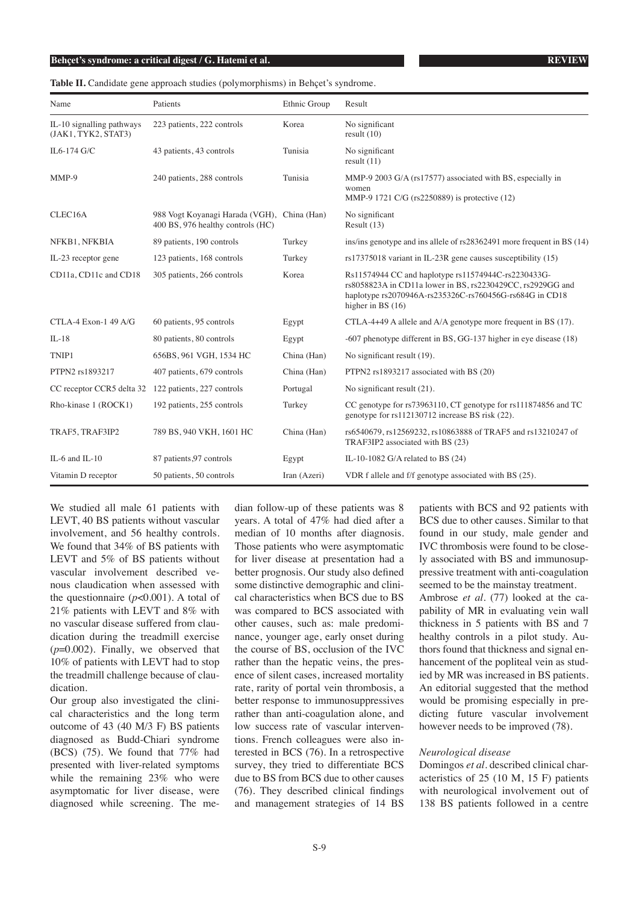**Table II.** Candidate gene approach studies (polymorphisms) in Behçet's syndrome.

| Name                                             | Patients                                                                         | Ethnic Group | Result                                                                                                                                                                                              |
|--------------------------------------------------|----------------------------------------------------------------------------------|--------------|-----------------------------------------------------------------------------------------------------------------------------------------------------------------------------------------------------|
| IL-10 signalling pathways<br>(JAK1, TYK2, STAT3) | 223 patients, 222 controls                                                       | Korea        | No significant<br>result $(10)$                                                                                                                                                                     |
| IL6-174 G/C                                      | 43 patients, 43 controls                                                         | Tunisia      | No significant<br>result $(11)$                                                                                                                                                                     |
| $MMP-9$                                          | 240 patients, 288 controls                                                       | Tunisia      | MMP-9 2003 G/A (rs17577) associated with BS, especially in<br>women<br>MMP-9 1721 C/G (rs2250889) is protective (12)                                                                                |
| CLEC16A                                          | 988 Vogt Koyanagi Harada (VGH), China (Han)<br>400 BS, 976 healthy controls (HC) |              | No significant<br>Result $(13)$                                                                                                                                                                     |
| NFKB1, NFKBIA                                    | 89 patients, 190 controls                                                        | Turkey       | ins/ins genotype and ins allele of rs28362491 more frequent in BS (14)                                                                                                                              |
| IL-23 receptor gene                              | 123 patients, 168 controls                                                       | Turkey       | $rs17375018$ variant in IL-23R gene causes susceptibility $(15)$                                                                                                                                    |
| CD11a, CD11c and CD18                            | 305 patients, 266 controls                                                       | Korea        | Rs11574944 CC and haplotype rs11574944C-rs2230433G-<br>rs8058823A in CD11a lower in BS, rs2230429CC, rs2929GG and<br>haplotype rs2070946A-rs235326C-rs760456G-rs684G in CD18<br>higher in BS $(16)$ |
| CTLA-4 Exon-1 49 A/G                             | 60 patients, 95 controls                                                         | Egypt        | CTLA-4+49 A allele and $A/A$ genotype more frequent in BS (17).                                                                                                                                     |
| $IL-18$                                          | 80 patients, 80 controls                                                         | Egypt        | -607 phenotype different in BS, GG-137 higher in eye disease (18)                                                                                                                                   |
| TNIP1                                            | 656BS, 961 VGH, 1534 HC                                                          | China (Han)  | No significant result (19).                                                                                                                                                                         |
| PTPN2 rs1893217                                  | 407 patients, 679 controls                                                       | China (Han)  | PTPN2 rs1893217 associated with BS (20)                                                                                                                                                             |
| CC receptor CCR5 delta 32                        | 122 patients, 227 controls                                                       | Portugal     | No significant result (21).                                                                                                                                                                         |
| Rho-kinase 1 (ROCK1)                             | 192 patients, 255 controls                                                       | Turkey       | CC genotype for rs73963110, CT genotype for rs111874856 and TC<br>genotype for rs112130712 increase BS risk (22).                                                                                   |
| TRAF5, TRAF3IP2                                  | 789 BS, 940 VKH, 1601 HC                                                         | China (Han)  | rs6540679, rs12569232, rs10863888 of TRAF5 and rs13210247 of<br>TRAF3IP2 associated with BS (23)                                                                                                    |
| IL-6 and IL-10                                   | 87 patients, 97 controls                                                         | Egypt        | IL-10-1082 G/A related to BS $(24)$                                                                                                                                                                 |
| Vitamin D receptor                               | 50 patients, 50 controls                                                         | Iran (Azeri) | VDR f allele and f/f genotype associated with BS (25).                                                                                                                                              |

We studied all male 61 patients with LEVT, 40 BS patients without vascular involvement, and 56 healthy controls. We found that 34% of BS patients with LEVT and 5% of BS patients without vascular involvement described venous claudication when assessed with the questionnaire  $(p<0.001)$ . A total of 21% patients with LEVT and 8% with no vascular disease suffered from claudication during the treadmill exercise (*p*=0.002). Finally, we observed that 10% of patients with LEVT had to stop the treadmill challenge because of claudication.

Our group also investigated the clinical characteristics and the long term outcome of 43 (40 M/3 F) BS patients diagnosed as Budd-Chiari syndrome (BCS) (75). We found that 77% had presented with liver-related symptoms while the remaining 23% who were asymptomatic for liver disease, were diagnosed while screening. The median follow-up of these patients was 8 years. A total of 47% had died after a median of 10 months after diagnosis. Those patients who were asymptomatic for liver disease at presentation had a better prognosis. Our study also defined some distinctive demographic and clinical characteristics when BCS due to BS was compared to BCS associated with other causes, such as: male predominance, younger age, early onset during the course of BS, occlusion of the IVC rather than the hepatic veins, the presence of silent cases, increased mortality rate, rarity of portal vein thrombosis, a better response to immunosuppressives rather than anti-coagulation alone, and low success rate of vascular interventions. French colleagues were also interested in BCS (76). In a retrospective survey, they tried to differentiate BCS due to BS from BCS due to other causes (76). They described clinical findings and management strategies of 14 BS patients with BCS and 92 patients with BCS due to other causes. Similar to that found in our study, male gender and IVC thrombosis were found to be closely associated with BS and immunosuppressive treatment with anti-coagulation seemed to be the mainstay treatment.

Ambrose *et al.* (77) looked at the capability of MR in evaluating vein wall thickness in 5 patients with BS and 7 healthy controls in a pilot study. Authors found that thickness and signal enhancement of the popliteal vein as studied by MR was increased in BS patients. An editorial suggested that the method would be promising especially in predicting future vascular involvement however needs to be improved (78).

# *Neurological disease*

Domingos *et al.* described clinical characteristics of 25 (10 M, 15 F) patients with neurological involvement out of 138 BS patients followed in a centre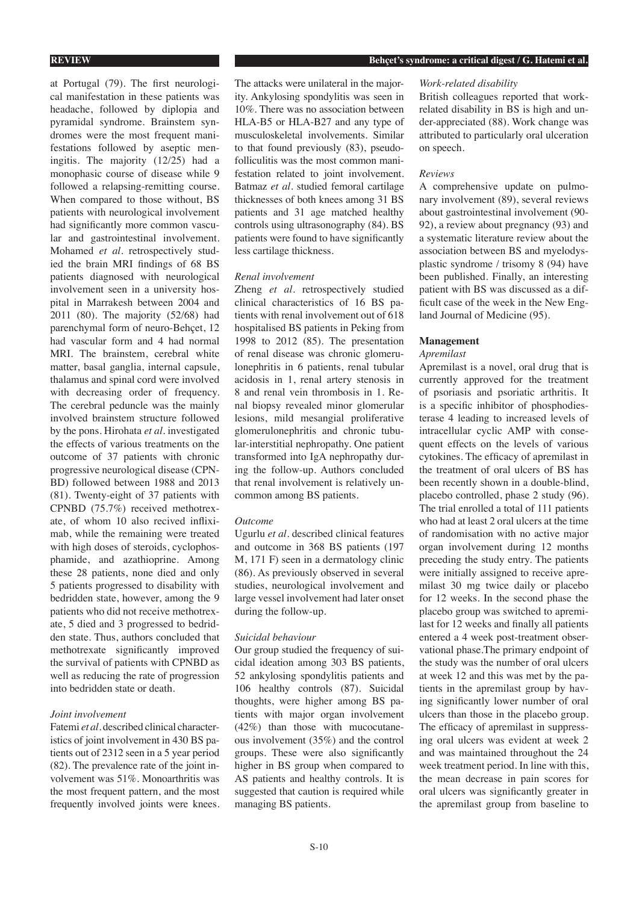at Portugal (79). The first neurological manifestation in these patients was headache, followed by diplopia and pyramidal syndrome. Brainstem syndromes were the most frequent manifestations followed by aseptic meningitis. The majority (12/25) had a monophasic course of disease while 9 followed a relapsing-remitting course. When compared to those without, BS patients with neurological involvement had significantly more common vascular and gastrointestinal involvement. Mohamed *et al.* retrospectively studied the brain MRI findings of 68 BS patients diagnosed with neurological involvement seen in a university hospital in Marrakesh between 2004 and 2011 (80). The majority (52/68) had parenchymal form of neuro-Behçet, 12 had vascular form and 4 had normal MRI. The brainstem, cerebral white matter, basal ganglia, internal capsule, thalamus and spinal cord were involved with decreasing order of frequency. The cerebral peduncle was the mainly involved brainstem structure followed by the pons. Hirohata *et al.* investigated the effects of various treatments on the outcome of 37 patients with chronic progressive neurological disease (CPN-BD) followed between 1988 and 2013 (81). Twenty-eight of 37 patients with CPNBD (75.7%) received methotrexate, of whom 10 also recived infliximab, while the remaining were treated with high doses of steroids, cyclophosphamide, and azathioprine. Among these 28 patients, none died and only 5 patients progressed to disability with bedridden state, however, among the 9 patients who did not receive methotrexate, 5 died and 3 progressed to bedridden state. Thus, authors concluded that methotrexate significantly improved the survival of patients with CPNBD as well as reducing the rate of progression into bedridden state or death.

# *Joint involvement*

Fatemi *et al.* described clinical characteristics of joint involvement in 430 BS patients out of 2312 seen in a 5 year period (82). The prevalence rate of the joint involvement was 51%. Monoarthritis was the most frequent pattern, and the most frequently involved joints were knees.

The attacks were unilateral in the majority. Ankylosing spondylitis was seen in 10%. There was no association between HLA-B5 or HLA-B27 and any type of musculoskeletal involvements. Similar to that found previously (83), pseudofolliculitis was the most common manifestation related to joint involvement. Batmaz *et al.* studied femoral cartilage thicknesses of both knees among 31 BS patients and 31 age matched healthy controls using ultrasonography (84). BS patients were found to have significantly less cartilage thickness.

### *Renal involvement*

Zheng *et al.* retrospectively studied clinical characteristics of 16 BS patients with renal involvement out of 618 hospitalised BS patients in Peking from 1998 to 2012 (85). The presentation of renal disease was chronic glomerulonephritis in 6 patients, renal tubular acidosis in 1, renal artery stenosis in 8 and renal vein thrombosis in 1. Renal biopsy revealed minor glomerular lesions, mild mesangial proliferative glomerulonephritis and chronic tubular-interstitial nephropathy. One patient transformed into IgA nephropathy during the follow-up. Authors concluded that renal involvement is relatively uncommon among BS patients.

# *Outcome*

Ugurlu *et al.* described clinical features and outcome in 368 BS patients (197 M, 171 F) seen in a dermatology clinic (86). As previously observed in several studies, neurological involvement and large vessel involvement had later onset during the follow-up.

# *Suicidal behaviour*

Our group studied the frequency of suicidal ideation among 303 BS patients, 52 ankylosing spondylitis patients and 106 healthy controls (87). Suicidal thoughts, were higher among BS patients with major organ involvement (42%) than those with mucocutaneous involvement (35%) and the control groups. These were also significantly higher in BS group when compared to AS patients and healthy controls. It is suggested that caution is required while managing BS patients.

## *Work-related disability*

British colleagues reported that workrelated disability in BS is high and under-appreciated (88). Work change was attributed to particularly oral ulceration on speech.

#### *Reviews*

A comprehensive update on pulmonary involvement (89), several reviews about gastrointestinal involvement (90- 92), a review about pregnancy (93) and a systematic literature review about the association between BS and myelodysplastic syndrome / trisomy 8 (94) have been published. Finally, an interesting patient with BS was discussed as a difficult case of the week in the New England Journal of Medicine (95).

# **Management**

# *Apremilast*

Apremilast is a novel, oral drug that is currently approved for the treatment of psoriasis and psoriatic arthritis. It is a specific inhibitor of phosphodiesterase 4 leading to increased levels of intracellular cyclic AMP with consequent effects on the levels of various cytokines. The efficacy of apremilast in the treatment of oral ulcers of BS has been recently shown in a double-blind, placebo controlled, phase 2 study (96). The trial enrolled a total of 111 patients who had at least 2 oral ulcers at the time of randomisation with no active major organ involvement during 12 months preceding the study entry. The patients were initially assigned to receive apremilast 30 mg twice daily or placebo for 12 weeks. In the second phase the placebo group was switched to apremilast for 12 weeks and finally all patients entered a 4 week post-treatment observational phase.The primary endpoint of the study was the number of oral ulcers at week 12 and this was met by the patients in the apremilast group by having significantly lower number of oral ulcers than those in the placebo group. The efficacy of apremilast in suppressing oral ulcers was evident at week 2 and was maintained throughout the 24 week treatment period. In line with this, the mean decrease in pain scores for oral ulcers was significantly greater in the apremilast group from baseline to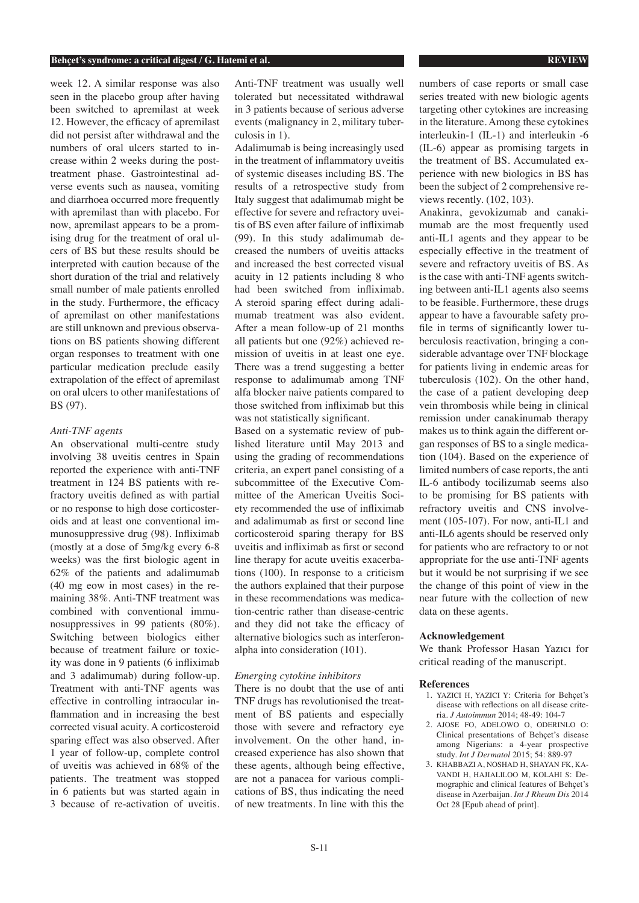week 12. A similar response was also seen in the placebo group after having been switched to apremilast at week 12. However, the efficacy of apremilast did not persist after withdrawal and the numbers of oral ulcers started to increase within 2 weeks during the posttreatment phase. Gastrointestinal adverse events such as nausea, vomiting and diarrhoea occurred more frequently with apremilast than with placebo. For now, apremilast appears to be a promising drug for the treatment of oral ulcers of BS but these results should be interpreted with caution because of the short duration of the trial and relatively small number of male patients enrolled in the study. Furthermore, the efficacy of apremilast on other manifestations are still unknown and previous observations on BS patients showing different organ responses to treatment with one particular medication preclude easily extrapolation of the effect of apremilast on oral ulcers to other manifestations of BS (97).

# *Anti-TNF agents*

An observational multi-centre study involving 38 uveitis centres in Spain reported the experience with anti-TNF treatment in 124 BS patients with refractory uveitis defined as with partial or no response to high dose corticosteroids and at least one conventional immunosuppressive drug (98). Infliximab (mostly at a dose of 5mg/kg every 6-8 weeks) was the first biologic agent in 62% of the patients and adalimumab (40 mg eow in most cases) in the remaining 38%. Anti-TNF treatment was combined with conventional immunosuppressives in 99 patients (80%). Switching between biologics either because of treatment failure or toxicity was done in 9 patients (6 infliximab and 3 adalimumab) during follow-up. Treatment with anti-TNF agents was effective in controlling intraocular inflammation and in increasing the best corrected visual acuity. A corticosteroid sparing effect was also observed. After 1 year of follow-up, complete control of uveitis was achieved in 68% of the patients. The treatment was stopped in 6 patients but was started again in 3 because of re-activation of uveitis.

Anti-TNF treatment was usually well tolerated but necessitated withdrawal in 3 patients because of serious adverse events (malignancy in 2, military tuberculosis in 1).

Adalimumab is being increasingly used in the treatment of inflammatory uveitis of systemic diseases including BS. The results of a retrospective study from Italy suggest that adalimumab might be effective for severe and refractory uveitis of BS even after failure of infliximab (99). In this study adalimumab decreased the numbers of uveitis attacks and increased the best corrected visual acuity in 12 patients including 8 who had been switched from infliximab. A steroid sparing effect during adalimumab treatment was also evident. After a mean follow-up of 21 months all patients but one (92%) achieved remission of uveitis in at least one eye. There was a trend suggesting a better response to adalimumab among TNF alfa blocker naive patients compared to those switched from infliximab but this was not statistically significant.

Based on a systematic review of published literature until May 2013 and using the grading of recommendations criteria, an expert panel consisting of a subcommittee of the Executive Committee of the American Uveitis Society recommended the use of infliximab and adalimumab as first or second line corticosteroid sparing therapy for BS uveitis and infliximab as first or second line therapy for acute uveitis exacerbations (100). In response to a criticism the authors explained that their purpose in these recommendations was medication-centric rather than disease-centric and they did not take the efficacy of alternative biologics such as interferonalpha into consideration (101).

# *Emerging cytokine inhibitors*

There is no doubt that the use of anti TNF drugs has revolutionised the treatment of BS patients and especially those with severe and refractory eye involvement. On the other hand, increased experience has also shown that these agents, although being effective, are not a panacea for various complications of BS, thus indicating the need of new treatments. In line with this the

numbers of case reports or small case series treated with new biologic agents targeting other cytokines are increasing in the literature. Among these cytokines interleukin-1 (IL-1) and interleukin -6 (IL-6) appear as promising targets in the treatment of BS. Accumulated experience with new biologics in BS has been the subject of 2 comprehensive reviews recently. (102, 103).

Anakinra, gevokizumab and canakimumab are the most frequently used anti-IL1 agents and they appear to be especially effective in the treatment of severe and refractory uveitis of BS. As is the case with anti-TNF agents switching between anti-IL1 agents also seems to be feasible. Furthermore, these drugs appear to have a favourable safety profile in terms of significantly lower tuberculosis reactivation, bringing a considerable advantage over TNF blockage for patients living in endemic areas for tuberculosis (102). On the other hand, the case of a patient developing deep vein thrombosis while being in clinical remission under canakinumab therapy makes us to think again the different organ responses of BS to a single medication (104). Based on the experience of limited numbers of case reports, the anti IL-6 antibody tocilizumab seems also to be promising for BS patients with refractory uveitis and CNS involvement (105-107). For now, anti-IL1 and anti-IL6 agents should be reserved only for patients who are refractory to or not appropriate for the use anti-TNF agents but it would be not surprising if we see the change of this point of view in the near future with the collection of new data on these agents.

#### **Acknowledgement**

We thank Professor Hasan Yazıcı for critical reading of the manuscript.

# **References**

- 1. YAZICI H, YAZICI Y: Criteria for Behçet's disease with reflections on all disease criteria. *J Autoimmun* 2014; 48-49: 104-7
- 2. AJOSE FO, ADELOWO O, ODERINLO O: Clinical presentations of Behçet's disease among Nigerians: a 4-year prospective study. *Int J Dermatol* 2015; 54: 889-97
- 3. KHABBAZI A, NOSHAD H, SHAYAN FK, KA-VANDI H, HAJIALILOO M, KOLAHI S: Demographic and clinical features of Behçet's disease in Azerbaijan. *Int J Rheum Dis* 2014 Oct 28 [Epub ahead of print].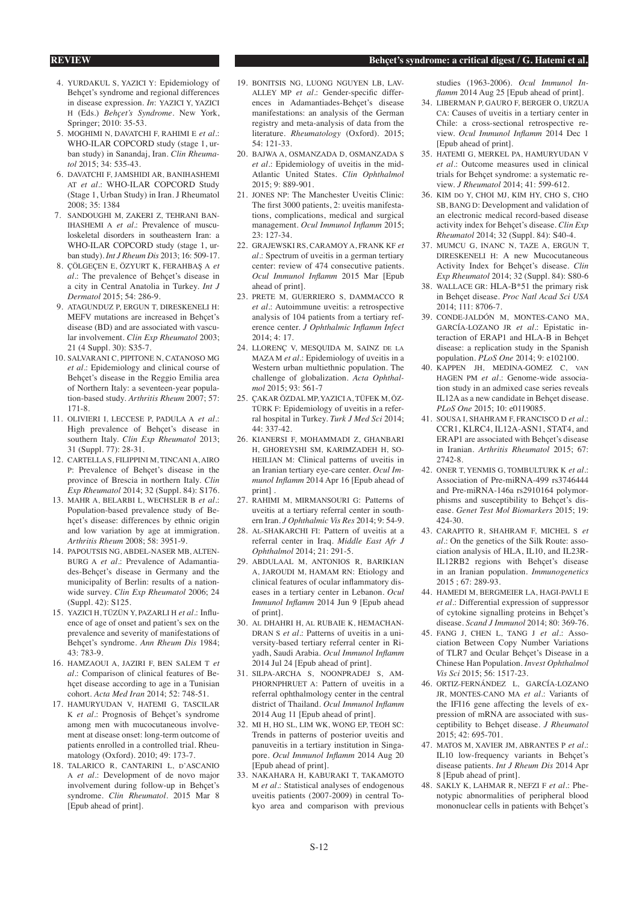#### **REVIEW Behçet's syndrome: a critical digest / G. Hatemi et al.**

- 4. YURDAKUL S, YAZICI Y: Epidemiology of Behçet's syndrome and regional differences in disease expression. *In*: YAZICI Y, YAZICI H (Eds.) *Behçet's Syndrome*. New York, Springer; 2010: 35-53.
- 5. MOGHIMI N, DAVATCHI F, RAHIMI E *et al.*: WHO-ILAR COPCORD study (stage 1, urban study) in Sanandaj, Iran. *Clin Rheumatol* 2015; 34: 535-43.
- 6. DAVATCHI F, JAMSHIDI AR, BANIHASHEMI AT *et al.*: WHO-ILAR COPCORD Study (Stage 1, Urban Study) in Iran. J Rheumatol 2008; 35: 1384
- 7. SANDOUGHI M, ZAKERI Z, TEHRANI BAN-IHASHEMI A *et al.*: Prevalence of musculoskeletal disorders in southeastern Iran: a WHO-ILAR COPCORD study (stage 1, urban study). *Int J Rheum Dis* 2013; 16: 509-17.
- 8. ÇÖLGEÇEN E, ÖZYURT K, FERAHBAŞ A *et al.*: The prevalence of Behçet's disease in a city in Central Anatolia in Turkey. *Int J Dermatol* 2015; 54: 286-9.
- 9. ATAGUNDUZ P, ERGUN T, DIRESKENELI H: MEFV mutations are increased in Behcet's disease (BD) and are associated with vascular involvement. *Clin Exp Rheumatol* 2003; 21 (4 Suppl. 30): S35-7.
- 10. SALVARANI C, PIPITONE N, CATANOSO MG *et al.*: Epidemiology and clinical course of Behçet's disease in the Reggio Emilia area of Northern Italy: a seventeen-year population-based study. *Arthritis Rheum* 2007; 57: 171-8.
- 11. OLIVIERI I, LECCESE P, PADULA A *et al.*: High prevalence of Behçet's disease in southern Italy. *Clin Exp Rheumatol* 2013; 31 (Suppl. 77): 28-31.
- 12. CARTELLA S, FILIPPINI M, TINCANI A, AIRO P: Prevalence of Behçet's disease in the province of Brescia in northern Italy. *Clin Exp Rheumatol* 2014; 32 (Suppl. 84): S176.
- 13. MAHR A, BELARBI L, WECHSLER B *et al.*: Population-based prevalence study of Behçet's disease: differences by ethnic origin and low variation by age at immigration. *Arthritis Rheum* 2008; 58: 3951-9.
- 14. PAPOUTSIS NG, ABDEL-NASER MB, ALTEN-BURG A *et al.*: Prevalence of Adamantiades-Behçet's disease in Germany and the municipality of Berlin: results of a nationwide survey. *Clin Exp Rheumatol* 2006; 24 (Suppl. 42): S125.
- 15. YAZICI H, TÜZÜN Y, PAZARLI H *et al.*: Influence of age of onset and patient's sex on the prevalence and severity of manifestations of Behçet's syndrome. *Ann Rheum Dis* 1984; 43: 783-9.
- 16. HAMZAOUI A, JAZIRI F, BEN SALEM T *et al.*: Comparison of clinical features of Behçet disease according to age in a Tunisian cohort. *Acta Med Iran* 2014; 52: 748-51.
- 17. HAMURYUDAN V, HATEMI G, TASCILAR K *et al.*: Prognosis of Behçet's syndrome among men with mucocutaneous involvement at disease onset: long-term outcome of patients enrolled in a controlled trial. Rheumatology (Oxford). 2010; 49: 173-7.
- 18. TALARICO R, CANTARINI L, D'ASCANIO A *et al.*: Development of de novo major involvement during follow-up in Behçet's syndrome. *Clin Rheumatol*. 2015 Mar 8 [Epub ahead of print].
- 19. BONITSIS NG, LUONG NGUYEN LB, LAV-ALLEY MP et al.: Gender-specific differences in Adamantiades-Behçet's disease manifestations: an analysis of the German registry and meta-analysis of data from the literature. *Rheumatology* (Oxford). 2015; 54: 121-33.
- 20. BAJWA A, OSMANZADA D, OSMANZADA S *et al.*: Epidemiology of uveitis in the mid-Atlantic United States. *Clin Ophthalmol* 2015; 9: 889-901.
- 21. JONES NP: The Manchester Uveitis Clinic: The first 3000 patients, 2: uveitis manifestations, complications, medical and surgical management. *Ocul Immunol Inflamm* 2015; 23: 127-34.
- 22. GRAJEWSKI RS, CARAMOY A, FRANK KF *et al.*: Spectrum of uveitis in a german tertiary center: review of 474 consecutive patients. *Ocul Immunol Inflamm* 2015 Mar [Epub ahead of print].
- 23. PRETE M, GUERRIERO S, DAMMACCO R *et al.*: Autoimmune uveitis: a retrospective analysis of 104 patients from a tertiary reference center. *J Ophthalmic Inflamm Infect*  $2014 \cdot 4 \cdot 17$
- 24. LLORENÇ V, MESQUIDA M, SAINZ de la MAZA M *et al.*: Epidemiology of uveitis in a Western urban multiethnic population. The challenge of globalization. *Acta Ophthalmol* 2015; 93: 561-7
- 25. ÇAKAR ÖZDAL MP, YAZICI A, TÜFEK M, ÖZ-TÜRK F: Epidemiology of uveitis in a referral hospital in Turkey. *Turk J Med Sci* 2014; 44: 337-42.
- 26. KIANERSI F, MOHAMMADI Z, GHANBARI H, GHOREYSHI SM, KARIMZADEH H, SO-HEILIAN M: Clinical patterns of uveitis in an Iranian tertiary eye-care center. *Ocul Immunol Inflamm* 2014 Apr 16 [Epub ahead of print] .
- 27. RAHIMI M, MIRMANSOURI G: Patterns of uveitis at a tertiary referral center in southern Iran. *J Ophthalmic Vis Res* 2014; 9: 54-9.
- 28. Al-SHAKARCHI FI: Pattern of uveitis at a referral center in Iraq. *Middle East Afr J Ophthalmol* 2014; 21: 291-5.
- 29. ABDULAAL M, ANTONIOS R, BARIKIAN A, JAROUDI M, HAMAM RN: Etiology and clinical features of ocular inflammatory diseases in a tertiary center in Lebanon. *Ocul Immunol Inflamm* 2014 Jun 9 [Epub ahead of print].
- 30. Al DHAHRI H, Al RUBAIE K, HEMACHAN-DRAN S *et al.*: Patterns of uveitis in a university-based tertiary referral center in Riyadh, Saudi Arabia. *Ocul Immunol Inflamm* 2014 Jul 24 [Epub ahead of print].
- 31. SILPA-ARCHA S, NOONPRADEJ S, AM-PHORNPHRUET A: Pattern of uveitis in a referral ophthalmology center in the central district of Thailand. *Ocul Immunol Inflamm* 2014 Aug 11 [Epub ahead of print].
- 32. MI H, HO SL, LIM WK, WONG EP, TEOH SC: Trends in patterns of posterior uveitis and panuveitis in a tertiary institution in Singapore. *Ocul Immunol Inflamm* 2014 Aug 20 [Epub ahead of print].
- 33. NAKAHARA H, KABURAKI T, TAKAMOTO M *et al.*: Statistical analyses of endogenous uveitis patients (2007-2009) in central Tokyo area and comparison with previous

studies (1963-2006). *Ocul Immunol Inflamm* 2014 Aug 25 [Epub ahead of print].

- 34. LIBERMAN P, GAURO F, BERGER O, URZUA CA: Causes of uveitis in a tertiary center in Chile: a cross-sectional retrospective review. *Ocul Immunol Inflamm* 2014 Dec 1 [Epub ahead of print].
- 35. HATEMI G, MERKEL PA, HAMURYUDAN V *et al.*: Outcome measures used in clinical trials for Behçet syndrome: a systematic review. *J Rheumatol* 2014; 41: 599-612.
- 36. KIM do Y, CHOI MJ, KIM HY, CHO S, CHO SB, BANG D: Development and validation of an electronic medical record-based disease activity index for Behçet's disease. *Clin Exp Rheumatol* 2014; 32 (Suppl. 84): S40-4.
- 37. MUMCU G, INANC N, TAZE A, ERGUN T, DIRESKENELI H: A new Mucocutaneous Activity Index for Behçet's disease. *Clin Exp Rheumatol* 2014; 32 (Suppl. 84): S80-6
- 38. WALLACE GR: HLA-B\*51 the primary risk in Behçet disease. *Proc Natl Acad Sci USA* 2014; 111: 8706-7.
- 39. CONDE-JALDÓN M, MONTES-CANO MA, GARCÍA-LOZANO JR *et al.*: Epistatic interaction of ERAP1 and HLA-B in Behçet disease: a replication study in the Spanish population. *PLoS One* 2014; 9: e102100.
- 40. KAPPEN JH, MEDINA-GOMEZ C, van HAGEN PM *et al.*: Genome-wide association study in an admixed case series reveals IL12A as a new candidate in Behçet disease. *PLoS One* 2015; 10: e0119085.
- 41. SOUSA I, SHAHRAM F, FRANCISCO D *et al.*: CCR1, KLRC4, IL12A-ASN1, STAT4, and ERAP1 are associated with Behçet's disease in Iranian. *Arthritis Rheumatol* 2015; 67: 2742-8.
- 42. ONER T, YENMIS G, TOMBULTURK K *et al.*: Association of Pre-miRNA-499 rs3746444 and Pre-miRNA-146a rs2910164 polymorphisms and susceptibility to Behçet's disease. *Genet Test Mol Biomarkers* 2015; 19: 424-30.
- 43. CARAPITO R, SHAHRAM F, MICHEL S *et al.*: On the genetics of the Silk Route: association analysis of HLA, IL10, and IL23R-IL12RB2 regions with Behçet's disease in an Iranian population. *Immunogenetics* 2015 ; 67: 289-93.
- 44. HAMEDI M, BERGMEIER LA, HAGI-PAVLI E *et al.*: Differential expression of suppressor of cytokine signalling proteins in Behçet's disease. *Scand J Immunol* 2014; 80: 369-76.
- 45. FANG J, CHEN L, TANG J *et al.*: Association Between Copy Number Variations of TLR7 and Ocular Behçet's Disease in a Chinese Han Population. *Invest Ophthalmol Vis Sci* 2015; 56: 1517-23.
- 46. ORTIZ-FERNÁNDEZ L, GARCÍA-LOZANO JR, MONTES-CANO MA *et al.*: Variants of the IFI16 gene affecting the levels of expression of mRNA are associated with susceptibility to Behçet disease. *J Rheumatol* 2015; 42: 695-701.
- 47. MATOS M, XAVIER JM, ABRANTES P *et al.*: IL10 low-frequency variants in Behçet's disease patients. *Int J Rheum Dis* 2014 Apr 8 [Epub ahead of print].
- 48. SAKLY K, LAHMAR R, NEFZI F *et al.*: Phenotypic abnormalities of peripheral blood mononuclear cells in patients with Behçet's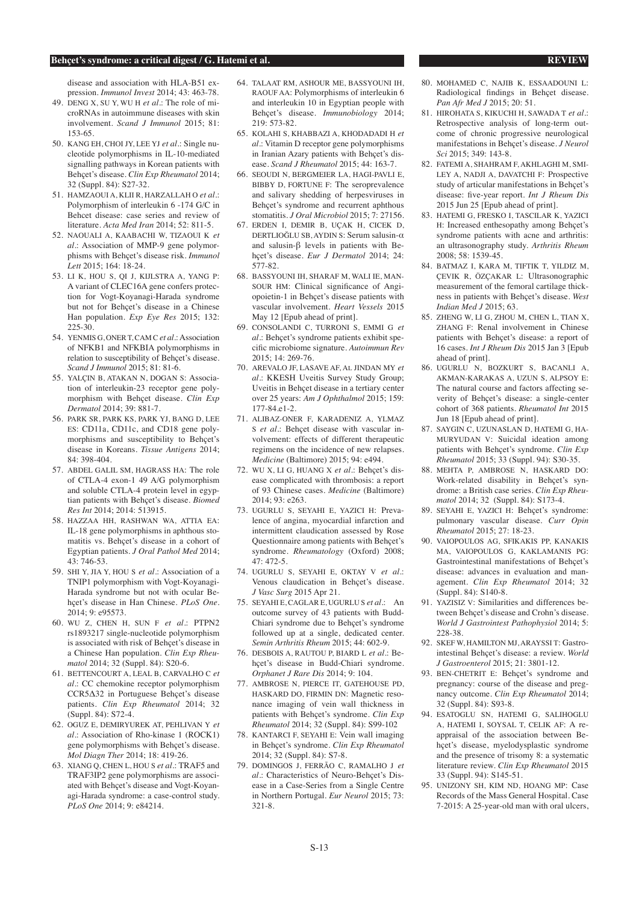disease and association with HLA-B51 expression. *Immunol Invest* 2014; 43: 463-78.

- 49. DENG X, SU Y, WU H *et al.*: The role of microRNAs in autoimmune diseases with skin involvement. *Scand J Immunol* 2015; 81: 153-65.
- 50. KANG EH, CHOI JY, LEE YJ *et al.*: Single nucleotide polymorphisms in IL-10-mediated signalling pathways in Korean patients with Behçet's disease. *Clin Exp Rheumatol* 2014; 32 (Suppl. 84): S27-32.
- 51. HAMZAOUI A, KLII R, HARZALLAH O *et al.*: Polymorphism of interleukin 6 -174 G/C in Behcet disease: case series and review of literature. *Acta Med Iran* 2014; 52: 811-5.
- 52. NAOUALI A, KAABACHI W, TIZAOUI K *et al.*: Association of MMP-9 gene polymorphisms with Behçet's disease risk. *Immunol Lett* 2015; 164: 18-24.
- 53. LI K, HOU S, QI J, KIJLSTRA A, YANG P: A variant of CLEC16A gene confers protection for Vogt-Koyanagi-Harada syndrome but not for Behçet's disease in a Chinese Han population. *Exp Eye Res* 2015; 132:  $225 - 30$
- 54. YENMIS G, ONER T, CAM C *et al.*: Association of NFKB1 and NFKBIA polymorphisms in relation to susceptibility of Behçet's disease. *Scand J Immunol* 2015; 81: 81-6.
- 55. YALÇIN B, ATAKAN N, DOGAN S: Association of interleukin-23 receptor gene polymorphism with Behçet disease. *Clin Exp Dermatol* 2014; 39: 881-7.
- 56. PARK SR, PARK KS, PARK YJ, BANG D, LEE ES: CD11a, CD11c, and CD18 gene polymorphisms and susceptibility to Behçet's disease in Koreans. *Tissue Antigens* 2014; 84: 398-404.
- 57. ABDEL GALIL SM, HAGRASS HA: The role of CTLA-4 exon-1 49 A/G polymorphism and soluble CTLA-4 protein level in egyptian patients with Behçet's disease. *Biomed Res Int* 2014; 2014: 513915.
- 58. HAZZAA HH, RASHWAN WA, ATTIA EA: IL-18 gene polymorphisms in aphthous stomatitis vs. Behçet's disease in a cohort of Egyptian patients. *J Oral Pathol Med* 2014; 43: 746-53.
- 59. SHI Y, JIA Y, HOU S *et al.*: Association of a TNIP1 polymorphism with Vogt-Koyanagi-Harada syndrome but not with ocular Behçet's disease in Han Chinese. *PLoS One*.  $2014.9: e95573.$
- 60. WU Z, CHEN H, SUN F *et al.*: PTPN2 rs1893217 single-nucleotide polymorphism is associated with risk of Behçet's disease in a Chinese Han population. *Clin Exp Rheumatol* 2014; 32 (Suppl. 84): S20-6.
- 61. BETTENCOURT A, LEAL B, CARVALHO C *et al.*: CC chemokine receptor polymorphism CCR5Δ32 in Portuguese Behçet's disease patients. *Clin Exp Rheumatol* 2014; 32 (Suppl. 84): S72-4.
- 62. OGUZ E, DEMIRYUREK AT, PEHLIVAN Y *et al.*: Association of Rho-kinase 1 (ROCK1) gene polymorphisms with Behçet's disease. *Mol Diagn Ther* 2014; 18: 419-26.
- 63. XIANG Q, CHEN L, HOU S *et al.*: TRAF5 and TRAF3IP2 gene polymorphisms are associated with Behçet's disease and Vogt-Koyanagi-Harada syndrome: a case-control study. *PLoS One* 2014; 9: e84214.
- 64. TALAAT RM, ASHOUR ME, BASSYOUNI IH, RAOUF AA: Polymorphisms of interleukin 6 and interleukin 10 in Egyptian people with Behçet's disease. *Immunobiology* 2014; 219: 573-82.
- 65. KOLAHI S, KHABBAZI A, KHODADADI H *et al.*: Vitamin D receptor gene polymorphisms in Iranian Azary patients with Behçet's disease. *Scand J Rheumatol* 2015; 44: 163-7.
- 66. SEOUDI N, BERGMEIER LA, HAGI-PAVLI E, BIBBY D, FORTUNE F: The seroprevalence and salivary shedding of herpesviruses in Behçet's syndrome and recurrent aphthous stomatitis. *J Oral Microbiol* 2015; 7: 27156.
- 67. ERDEN I, DEMIR B, UÇAK H, CICEK D, DERTLIOĞLU SB, AYDIN S: Serum salusin-α and salusin-β levels in patients with Behçet's disease. *Eur J Dermatol* 2014; 24: 577-82.
- 68. BASSYOUNI IH, SHARAF M, WALI IE, MAN-SOUR HM: Clinical significance of Angiopoietin-1 in Behçet's disease patients with vascular involvement. *Heart Vessels* 2015 May 12 [Epub ahead of print].
- 69. CONSOLANDI C, TURRONI S, EMMI G *et al.*: Behçet's syndrome patients exhibit specific microbiome signature. *Autoimmun Rev* 2015; 14: 269-76.
- 70. AREVALO JF, LASAVE AF, Al JINDAN MY *et al.*: KKESH Uveitis Survey Study Group; Uveitis in Behçet disease in a tertiary center over 25 years: *Am J Ophthalmol* 2015; 159: 177-84.e1-2.
- 71. ALIBAZ-ONER F, KARADENIZ A, YLMAZ S *et al.*: Behçet disease with vascular involvement: effects of different therapeutic regimens on the incidence of new relapses. *Medicine* (Baltimore) 2015; 94: e494.
- 72. WU X, LI G, HUANG X *et al.*: Behçet's disease complicated with thrombosis: a report of 93 Chinese cases. *Medicine* (Baltimore) 2014; 93: e263.
- 73. UGURLU S, SEYAHI E, YAZICI H: Prevalence of angina, myocardial infarction and intermittent claudication assessed by Rose Questionnaire among patients with Behçet's syndrome. *Rheumatology* (Oxford) 2008; 47: 472-5.
- 74. UGURLU S, SEYAHI E, OKTAY V *et al.*: Venous claudication in Behcet's disease. *J Vasc Surg* 2015 Apr 21.
- 75. SEYAHI E, CAGLAR E, UGURLU S *et al.*: An outcome survey of 43 patients with Budd-Chiari syndrome due to Behçet's syndrome followed up at a single, dedicated center. *Semin Arthritis Rheum* 2015; 44: 602-9.
- 76. DESBOIS A, RAUTOU P, BIARD L *et al.*: Behçet's disease in Budd-Chiari syndrome. *Orphanet J Rare Dis* 2014; 9: 104.
- 77. AMBROSE N, PIERCE IT, GATEHOUSE PD, HASKARD DO, FIRMIN DN: Magnetic resonance imaging of vein wall thickness in patients with Behçet's syndrome. *Clin Exp Rheumatol* 2014; 32 (Suppl. 84): S99-102
- 78. KANTARCI F, SEYAHI E: Vein wall imaging in Behçet's syndrome. *Clin Exp Rheumatol*  2014; 32 (Suppl. 84): S7-8.
- 79. DOMINGOS J, FERRÃO C, RAMALHO J *et al.*: Characteristics of Neuro-Behçet's Disease in a Case-Series from a Single Centre in Northern Portugal. *Eur Neurol* 2015; 73: 321-8.
- 80. MOHAMED C, NAJIB K, ESSAADOUNI L: Radiological findings in Behçet disease. *Pan Afr Med J* 2015; 20: 51.
- 81. HIROHATA S, KIKUCHI H, SAWADA T *et al.*: Retrospective analysis of long-term outcome of chronic progressive neurological manifestations in Behçet's disease. *J Neurol Sci* 2015; 349: 143-8.
- 82. FATEMI A, SHAHRAM F, AKHLAGHI M, SMI-LEY A, NADJI A, DAVATCHI F: Prospective study of articular manifestations in Behçet's disease: five-year report. *Int J Rheum Dis* 2015 Jun 25 [Epub ahead of print].
- 83. HATEMI G, FRESKO I, TASCILAR K, YAZICI H: Increased enthesopathy among Behçet's syndrome patients with acne and arthritis: an ultrasonography study. *Arthritis Rheum*  $2008:58:1539-45$ .
- 84. BATMAZ I, KARA M, TIFTIK T, YILDIZ M, ÇEVIK R, ÖZÇAKAR L: Ultrasonographic measurement of the femoral cartilage thickness in patients with Behçet's disease. *West Indian Med J* 2015; 63.
- 85. ZHENG W, LLG, ZHOU M, CHEN L, TIAN X ZHANG F: Renal involvement in Chinese patients with Behçet's disease: a report of 16 cases. *Int J Rheum Dis* 2015 Jan 3 [Epub ahead of print].
- 86. UGURLU N, BOZKURT S, BACANLI A, AKMAN-KARAKAS A, UZUN S, ALPSOY E: The natural course and factors affecting severity of Behçet's disease: a single-center cohort of 368 patients. *Rheumatol Int* 2015 Jun 18 [Epub ahead of print].
- 87. SAYGIN C, UZUNASLAN D, HATEMI G, HA-MURYUDAN V: Suicidal ideation among patients with Behçet's syndrome. *Clin Exp Rheumatol* 2015; 33 (Suppl. 94): S30-35.
- 88. MEHTA P, AMBROSE N, HASKARD DO: Work-related disability in Behçet's syndrome: a British case series. *Clin Exp Rheumatol* 2014; 32 (Suppl. 84): S173-4.
- 89. SEYAHI E, YAZICI H: Behçet's syndrome: pulmonary vascular disease. *Curr Opin Rheumatol* 2015; 27: 18-23.
- 90. VAIOPOULOS AG, SFIKAKIS PP, KANAKIS MA, VAIOPOULOS G, KAKLAMANIS PG: Gastrointestinal manifestations of Behçet's disease: advances in evaluation and management. *Clin Exp Rheumatol* 2014; 32 (Suppl. 84): S140-8.
- 91. YAZISIZ V: Similarities and differences between Behcet's disease and Crohn's disease. *World J Gastrointest Pathophysiol* 2014; 5: 228-38.
- 92. SKEF W, HAMILTON MJ, ARAYSSI T: Gastrointestinal Behçet's disease: a review. *World J Gastroenterol* 2015; 21: 3801-12.
- 93. BEN-CHETRIT E: Behçet's syndrome and pregnancy: course of the disease and pregnancy outcome. *Clin Exp Rheumatol* 2014; 32 (Suppl. 84): S93-8.
- 94. ESATOGLU SN, HATEMI G, SALIHOGLU A, HATEMI I, SOYSAL T, CELIK AF: A reappraisal of the association between Behçet's disease, myelodysplastic syndrome and the presence of trisomy 8: a systematic literature review. *Clin Exp Rheumatol* 2015 33 (Suppl. 94): S145-51.
- 95. UNIZONY SH, KIM ND, HOANG MP: Case Records of the Mass General Hospital. Case 7-2015: A 25-year-old man with oral ulcers,